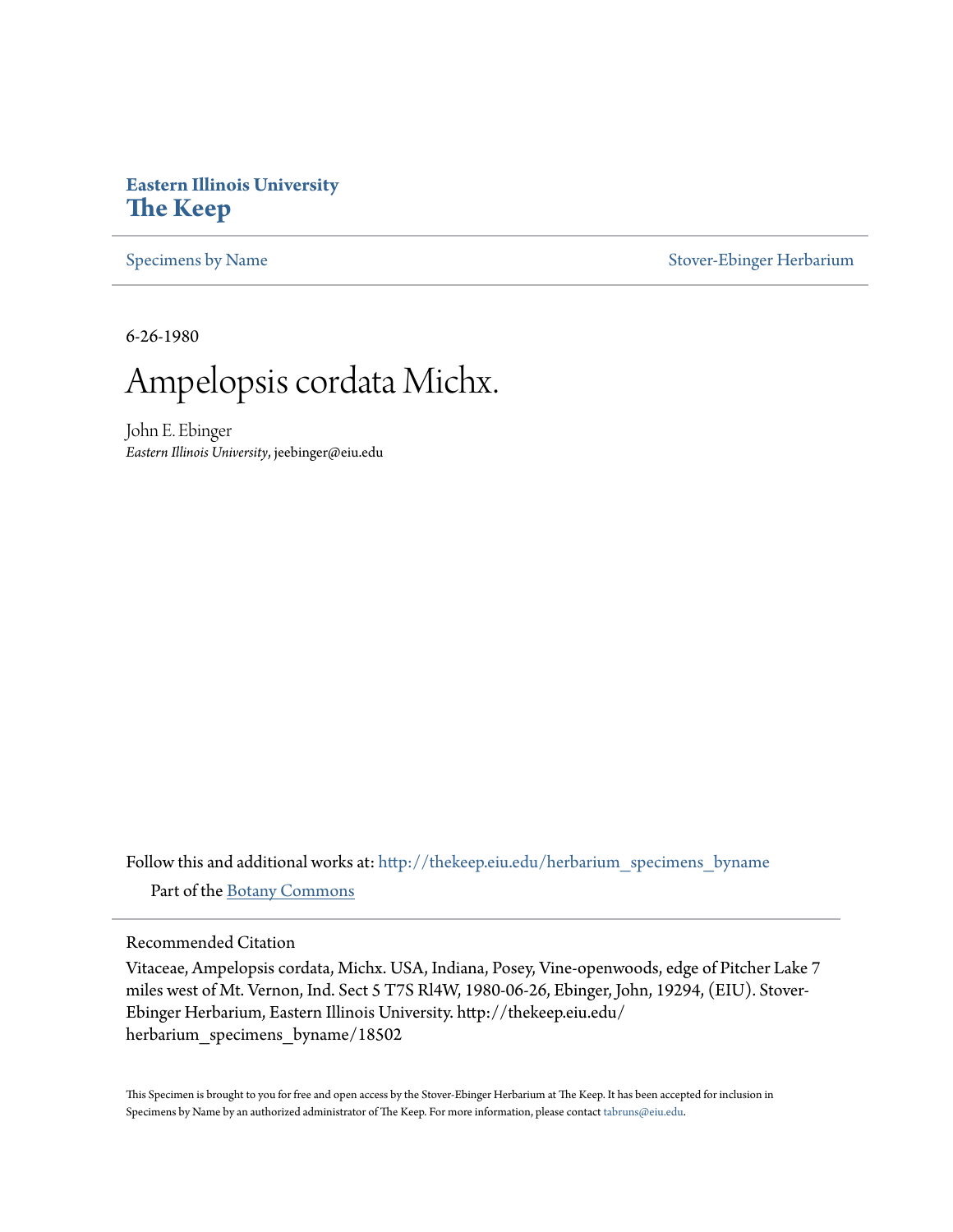## **Eastern Illinois University [The Keep](http://thekeep.eiu.edu?utm_source=thekeep.eiu.edu%2Fherbarium_specimens_byname%2F18502&utm_medium=PDF&utm_campaign=PDFCoverPages)**

[Specimens by Name](http://thekeep.eiu.edu/herbarium_specimens_byname?utm_source=thekeep.eiu.edu%2Fherbarium_specimens_byname%2F18502&utm_medium=PDF&utm_campaign=PDFCoverPages) [Stover-Ebinger Herbarium](http://thekeep.eiu.edu/herbarium?utm_source=thekeep.eiu.edu%2Fherbarium_specimens_byname%2F18502&utm_medium=PDF&utm_campaign=PDFCoverPages)

6-26-1980



John E. Ebinger *Eastern Illinois University*, jeebinger@eiu.edu

Follow this and additional works at: [http://thekeep.eiu.edu/herbarium\\_specimens\\_byname](http://thekeep.eiu.edu/herbarium_specimens_byname?utm_source=thekeep.eiu.edu%2Fherbarium_specimens_byname%2F18502&utm_medium=PDF&utm_campaign=PDFCoverPages) Part of the [Botany Commons](http://network.bepress.com/hgg/discipline/104?utm_source=thekeep.eiu.edu%2Fherbarium_specimens_byname%2F18502&utm_medium=PDF&utm_campaign=PDFCoverPages)

Recommended Citation

Vitaceae, Ampelopsis cordata, Michx. USA, Indiana, Posey, Vine-openwoods, edge of Pitcher Lake 7 miles west of Mt. Vernon, Ind. Sect 5 T7S Rl4W, 1980-06-26, Ebinger, John, 19294, (EIU). Stover-Ebinger Herbarium, Eastern Illinois University. http://thekeep.eiu.edu/ herbarium\_specimens\_byname/18502

This Specimen is brought to you for free and open access by the Stover-Ebinger Herbarium at The Keep. It has been accepted for inclusion in Specimens by Name by an authorized administrator of The Keep. For more information, please contact [tabruns@eiu.edu](mailto:tabruns@eiu.edu).